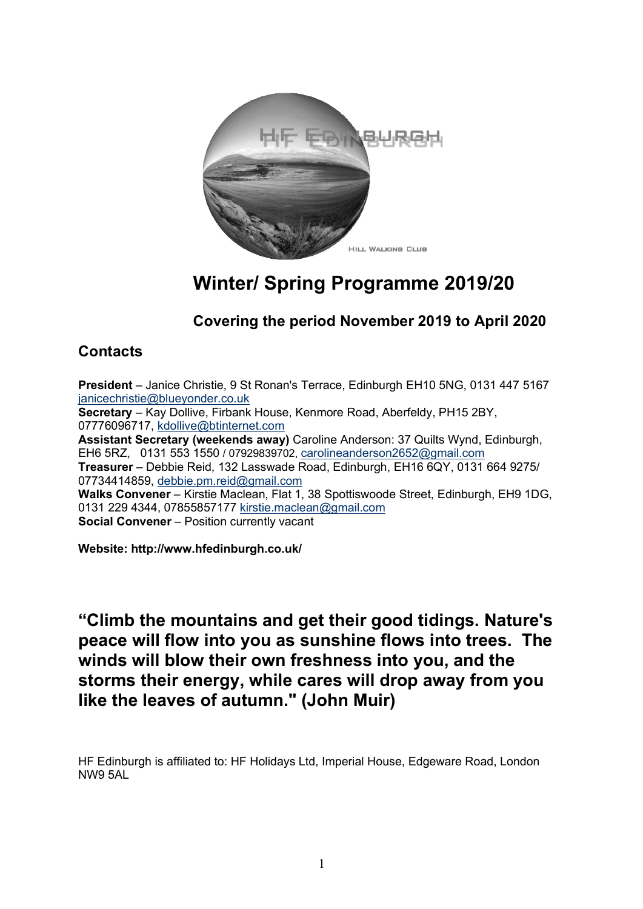

# **Winter/ Spring Programme 2019/20**

## **Covering the period November 2019 to April 2020**

### **Contacts**

**President** – Janice Christie, 9 St Ronan's Terrace, Edinburgh EH10 5NG, 0131 447 5167 ianicechristie@blueyonder.co.uk **Secretary** – Kay Dollive, Firbank House, Kenmore Road, Aberfeldy, PH15 2BY, 07776096717, kdollive@btinternet.com **Assistant Secretary (weekends away)** Caroline Anderson: 37 Quilts Wynd, Edinburgh, EH6 5RZ, 0131 553 1550 / 07929839702, carolineanderson2652@gmail.com **Treasurer** – Debbie Reid, 132 Lasswade Road, Edinburgh, EH16 6QY, 0131 664 9275/ 07734414859, debbie.pm.reid@gmail.com **Walks Convener** – Kirstie Maclean, Flat 1, 38 Spottiswoode Street, Edinburgh, EH9 1DG, 0131 229 4344, 07855857177 kirstie.maclean@gmail.com **Social Convener** – Position currently vacant

**Website: http://www.hfedinburgh.co.uk/**

**"Climb the mountains and get their good tidings. Nature's peace will flow into you as sunshine flows into trees. The winds will blow their own freshness into you, and the storms their energy, while cares will drop away from you like the leaves of autumn." (John Muir)**

HF Edinburgh is affiliated to: HF Holidays Ltd, Imperial House, Edgeware Road, London NW9 5AL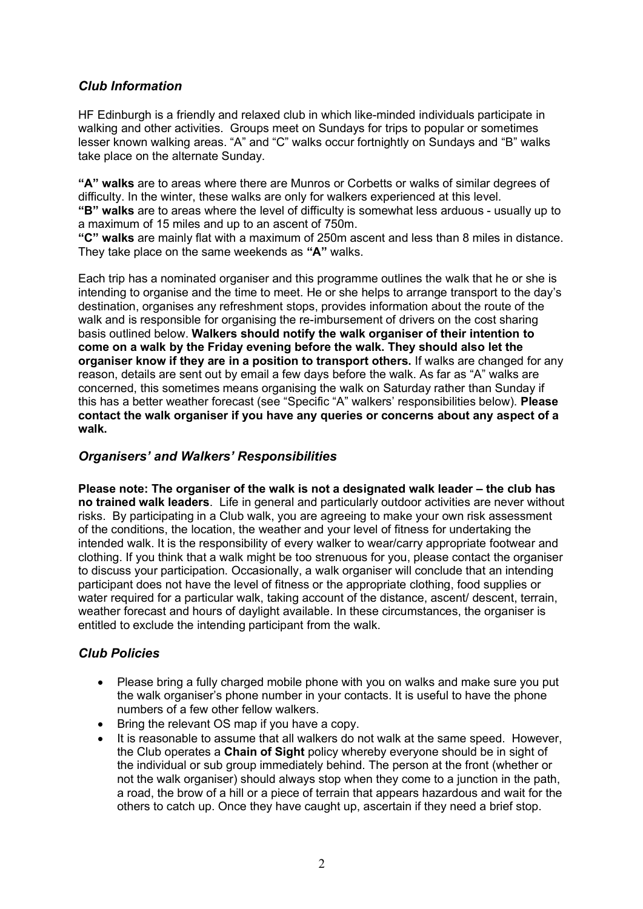#### *Club Information*

HF Edinburgh is a friendly and relaxed club in which like-minded individuals participate in walking and other activities. Groups meet on Sundays for trips to popular or sometimes lesser known walking areas. "A" and "C" walks occur fortnightly on Sundays and "B" walks take place on the alternate Sunday.

**"A" walks** are to areas where there are Munros or Corbetts or walks of similar degrees of difficulty. In the winter, these walks are only for walkers experienced at this level. **"B" walks** are to areas where the level of difficulty is somewhat less arduous - usually up to

a maximum of 15 miles and up to an ascent of 750m.

**"C" walks** are mainly flat with a maximum of 250m ascent and less than 8 miles in distance. They take place on the same weekends as **"A"** walks.

Each trip has a nominated organiser and this programme outlines the walk that he or she is intending to organise and the time to meet. He or she helps to arrange transport to the day's destination, organises any refreshment stops, provides information about the route of the walk and is responsible for organising the re-imbursement of drivers on the cost sharing basis outlined below. **Walkers should notify the walk organiser of their intention to come on a walk by the Friday evening before the walk. They should also let the organiser know if they are in a position to transport others.** If walks are changed for any reason, details are sent out by email a few days before the walk. As far as "A" walks are concerned, this sometimes means organising the walk on Saturday rather than Sunday if this has a better weather forecast (see "Specific "A" walkers' responsibilities below). **Please contact the walk organiser if you have any queries or concerns about any aspect of a walk.**

#### *Organisers' and Walkers' Responsibilities*

**Please note: The organiser of the walk is not a designated walk leader – the club has no trained walk leaders**. Life in general and particularly outdoor activities are never without risks. By participating in a Club walk, you are agreeing to make your own risk assessment of the conditions, the location, the weather and your level of fitness for undertaking the intended walk. It is the responsibility of every walker to wear/carry appropriate footwear and clothing. If you think that a walk might be too strenuous for you, please contact the organiser to discuss your participation. Occasionally, a walk organiser will conclude that an intending participant does not have the level of fitness or the appropriate clothing, food supplies or water required for a particular walk, taking account of the distance, ascent/ descent, terrain, weather forecast and hours of daylight available. In these circumstances, the organiser is entitled to exclude the intending participant from the walk.

#### *Club Policies*

- Please bring a fully charged mobile phone with you on walks and make sure you put the walk organiser's phone number in your contacts. It is useful to have the phone numbers of a few other fellow walkers.
- Bring the relevant OS map if you have a copy.
- It is reasonable to assume that all walkers do not walk at the same speed. However, the Club operates a **Chain of Sight** policy whereby everyone should be in sight of the individual or sub group immediately behind. The person at the front (whether or not the walk organiser) should always stop when they come to a junction in the path, a road, the brow of a hill or a piece of terrain that appears hazardous and wait for the others to catch up. Once they have caught up, ascertain if they need a brief stop.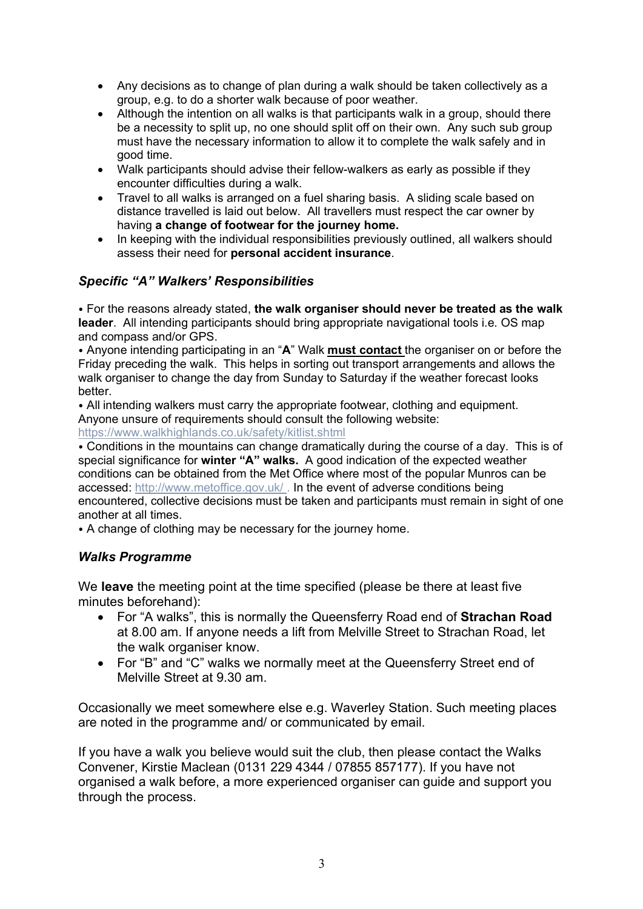- Any decisions as to change of plan during a walk should be taken collectively as a group, e.g. to do a shorter walk because of poor weather.
- Although the intention on all walks is that participants walk in a group, should there be a necessity to split up, no one should split off on their own. Any such sub group must have the necessary information to allow it to complete the walk safely and in good time.
- Walk participants should advise their fellow-walkers as early as possible if they encounter difficulties during a walk.
- Travel to all walks is arranged on a fuel sharing basis. A sliding scale based on distance travelled is laid out below. All travellers must respect the car owner by having **a change of footwear for the journey home.**
- In keeping with the individual responsibilities previously outlined, all walkers should assess their need for **personal accident insurance**.

#### *Specific "A" Walkers' Responsibilities*

⦁ For the reasons already stated, **the walk organiser should never be treated as the walk leader**. All intending participants should bring appropriate navigational tools i.e. OS map and compass and/or GPS.

⦁ Anyone intending participating in an "**A**" Walk **must contact** the organiser on or before the Friday preceding the walk. This helps in sorting out transport arrangements and allows the walk organiser to change the day from Sunday to Saturday if the weather forecast looks better.

⦁ All intending walkers must carry the appropriate footwear, clothing and equipment. Anyone unsure of requirements should consult the following website:

https://www.walkhighlands.co.uk/safety/kitlist.shtml

⦁ Conditions in the mountains can change dramatically during the course of a day. This is of special significance for **winter "A" walks.** A good indication of the expected weather conditions can be obtained from the Met Office where most of the popular Munros can be accessed: http://www.metoffice.gov.uk/ . In the event of adverse conditions being encountered, collective decisions must be taken and participants must remain in sight of one another at all times.

⦁ A change of clothing may be necessary for the journey home.

#### *Walks Programme*

We **leave** the meeting point at the time specified (please be there at least five minutes beforehand):

- For "A walks", this is normally the Queensferry Road end of **Strachan Road** at 8.00 am. If anyone needs a lift from Melville Street to Strachan Road, let the walk organiser know.
- For "B" and "C" walks we normally meet at the Queensferry Street end of Melville Street at 9.30 am.

Occasionally we meet somewhere else e.g. Waverley Station. Such meeting places are noted in the programme and/ or communicated by email.

If you have a walk you believe would suit the club, then please contact the Walks Convener, Kirstie Maclean (0131 229 4344 / 07855 857177). If you have not organised a walk before, a more experienced organiser can guide and support you through the process.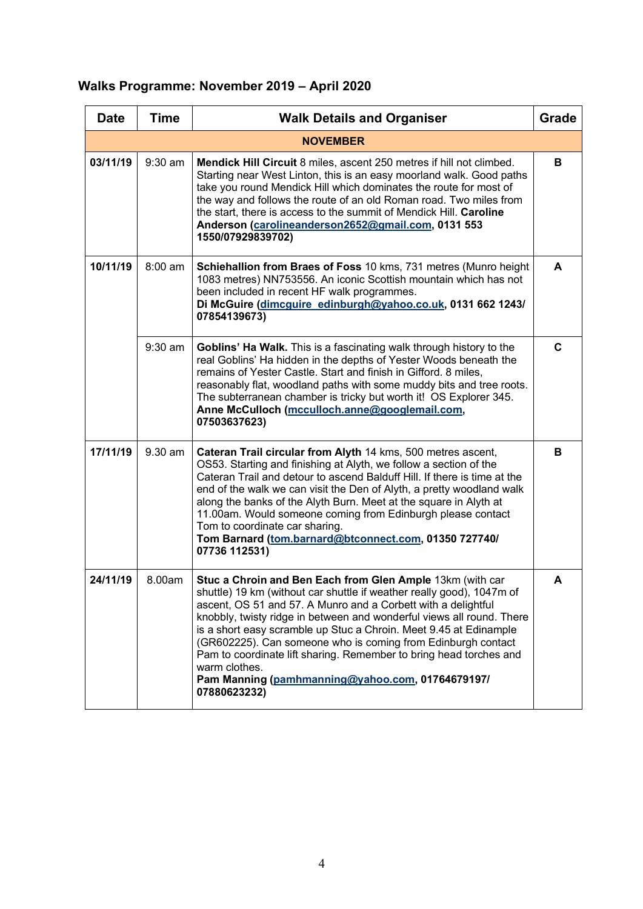# **Walks Programme: November 2019 – April 2020**

| <b>Date</b> | <b>Time</b>                                                                                                                                                                                                                                                                   | <b>Walk Details and Organiser</b><br><b>Grade</b>                                                                                                                                                                                                                                                                                                                                                                                                                                                                                                                            |   |  |  |  |  |
|-------------|-------------------------------------------------------------------------------------------------------------------------------------------------------------------------------------------------------------------------------------------------------------------------------|------------------------------------------------------------------------------------------------------------------------------------------------------------------------------------------------------------------------------------------------------------------------------------------------------------------------------------------------------------------------------------------------------------------------------------------------------------------------------------------------------------------------------------------------------------------------------|---|--|--|--|--|
|             |                                                                                                                                                                                                                                                                               | <b>NOVEMBER</b>                                                                                                                                                                                                                                                                                                                                                                                                                                                                                                                                                              |   |  |  |  |  |
| 03/11/19    | 9:30 am                                                                                                                                                                                                                                                                       | Mendick Hill Circuit 8 miles, ascent 250 metres if hill not climbed.<br>Starting near West Linton, this is an easy moorland walk. Good paths<br>take you round Mendick Hill which dominates the route for most of<br>the way and follows the route of an old Roman road. Two miles from<br>the start, there is access to the summit of Mendick Hill. Caroline<br>Anderson (carolineanderson2652@gmail.com, 0131 553<br>1550/07929839702)                                                                                                                                     |   |  |  |  |  |
| 10/11/19    | 8:00 am<br>Schiehallion from Braes of Foss 10 kms, 731 metres (Munro height<br>1083 metres) NN753556. An iconic Scottish mountain which has not<br>been included in recent HF walk programmes.<br>Di McGuire (dimcguire edinburgh@yahoo.co.uk, 0131 662 1243/<br>07854139673) |                                                                                                                                                                                                                                                                                                                                                                                                                                                                                                                                                                              |   |  |  |  |  |
|             | 9:30 am                                                                                                                                                                                                                                                                       | Goblins' Ha Walk. This is a fascinating walk through history to the<br>real Goblins' Ha hidden in the depths of Yester Woods beneath the<br>remains of Yester Castle. Start and finish in Gifford. 8 miles,<br>reasonably flat, woodland paths with some muddy bits and tree roots.<br>The subterranean chamber is tricky but worth it! OS Explorer 345.<br>Anne McCulloch (mcculloch.anne@googlemail.com,<br>07503637623)                                                                                                                                                   | C |  |  |  |  |
| 17/11/19    | 9.30 am                                                                                                                                                                                                                                                                       | Cateran Trail circular from Alyth 14 kms, 500 metres ascent,<br>OS53. Starting and finishing at Alyth, we follow a section of the<br>Cateran Trail and detour to ascend Balduff Hill. If there is time at the<br>end of the walk we can visit the Den of Alyth, a pretty woodland walk<br>along the banks of the Alyth Burn. Meet at the square in Alyth at<br>11.00am. Would someone coming from Edinburgh please contact<br>Tom to coordinate car sharing.<br>Tom Barnard (tom.barnard@btconnect.com, 01350 727740/<br>07736 112531)                                       |   |  |  |  |  |
| 24/11/19    | 8.00am                                                                                                                                                                                                                                                                        | Stuc a Chroin and Ben Each from Glen Ample 13km (with car<br>shuttle) 19 km (without car shuttle if weather really good), 1047m of<br>ascent, OS 51 and 57. A Munro and a Corbett with a delightful<br>knobbly, twisty ridge in between and wonderful views all round. There<br>is a short easy scramble up Stuc a Chroin. Meet 9.45 at Edinample<br>(GR602225). Can someone who is coming from Edinburgh contact<br>Pam to coordinate lift sharing. Remember to bring head torches and<br>warm clothes.<br>Pam Manning (pamhmanning@yahoo.com, 01764679197/<br>07880623232) | A |  |  |  |  |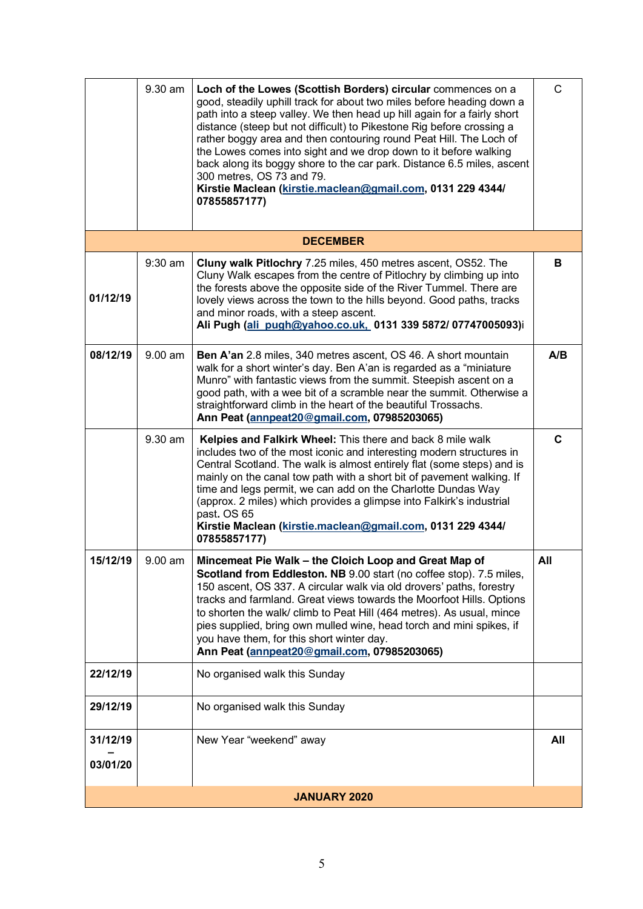|                      | 9.30 am   | Loch of the Lowes (Scottish Borders) circular commences on a<br>good, steadily uphill track for about two miles before heading down a<br>path into a steep valley. We then head up hill again for a fairly short<br>distance (steep but not difficult) to Pikestone Rig before crossing a<br>rather boggy area and then contouring round Peat Hill. The Loch of<br>the Lowes comes into sight and we drop down to it before walking<br>back along its boggy shore to the car park. Distance 6.5 miles, ascent<br>300 metres, OS 73 and 79.<br>Kirstie Maclean (kirstie.maclean@gmail.com, 0131 229 4344/<br>07855857177) | $\mathsf{C}$ |  |  |
|----------------------|-----------|--------------------------------------------------------------------------------------------------------------------------------------------------------------------------------------------------------------------------------------------------------------------------------------------------------------------------------------------------------------------------------------------------------------------------------------------------------------------------------------------------------------------------------------------------------------------------------------------------------------------------|--------------|--|--|
|                      |           | <b>DECEMBER</b>                                                                                                                                                                                                                                                                                                                                                                                                                                                                                                                                                                                                          |              |  |  |
| 01/12/19             | $9:30$ am | Cluny walk Pitlochry 7.25 miles, 450 metres ascent, OS52. The<br>Cluny Walk escapes from the centre of Pitlochry by climbing up into<br>the forests above the opposite side of the River Tummel. There are<br>lovely views across the town to the hills beyond. Good paths, tracks<br>and minor roads, with a steep ascent.<br>Ali Pugh (ali pugh@yahoo.co.uk. 0131 339 5872/ 07747005093)i                                                                                                                                                                                                                              | В            |  |  |
| 08/12/19             | $9.00$ am | Ben A'an 2.8 miles, 340 metres ascent, OS 46. A short mountain<br>walk for a short winter's day. Ben A'an is regarded as a "miniature"<br>Munro" with fantastic views from the summit. Steepish ascent on a<br>good path, with a wee bit of a scramble near the summit. Otherwise a<br>straightforward climb in the heart of the beautiful Trossachs.<br>Ann Peat (annpeat20@gmail.com, 07985203065)                                                                                                                                                                                                                     | A/B          |  |  |
|                      | 9.30 am   | Kelpies and Falkirk Wheel: This there and back 8 mile walk<br>includes two of the most iconic and interesting modern structures in<br>Central Scotland. The walk is almost entirely flat (some steps) and is<br>mainly on the canal tow path with a short bit of pavement walking. If<br>time and legs permit, we can add on the Charlotte Dundas Way<br>(approx. 2 miles) which provides a glimpse into Falkirk's industrial<br>past. OS 65<br>Kirstie Maclean (kirstie.maclean@gmail.com, 0131 229 4344/<br>07855857177)                                                                                               | $\mathbf c$  |  |  |
| 15/12/19             | 9.00 am   | Mincemeat Pie Walk - the Cloich Loop and Great Map of<br>Scotland from Eddleston. NB 9.00 start (no coffee stop). 7.5 miles,<br>150 ascent, OS 337. A circular walk via old drovers' paths, forestry<br>tracks and farmland. Great views towards the Moorfoot Hills. Options<br>to shorten the walk/ climb to Peat Hill (464 metres). As usual, mince<br>pies supplied, bring own mulled wine, head torch and mini spikes, if<br>you have them, for this short winter day.<br>Ann Peat (annpeat20@gmail.com, 07985203065)                                                                                                | All          |  |  |
| 22/12/19             |           | No organised walk this Sunday                                                                                                                                                                                                                                                                                                                                                                                                                                                                                                                                                                                            |              |  |  |
| 29/12/19             |           | No organised walk this Sunday                                                                                                                                                                                                                                                                                                                                                                                                                                                                                                                                                                                            |              |  |  |
| 31/12/19<br>03/01/20 |           | New Year "weekend" away                                                                                                                                                                                                                                                                                                                                                                                                                                                                                                                                                                                                  | All          |  |  |
| <b>JANUARY 2020</b>  |           |                                                                                                                                                                                                                                                                                                                                                                                                                                                                                                                                                                                                                          |              |  |  |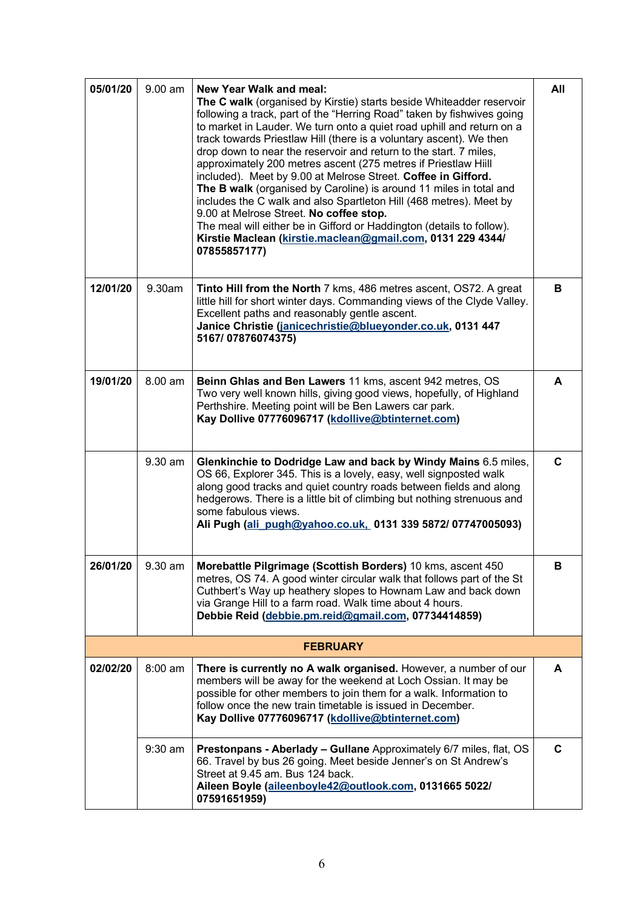| 05/01/20        | $9.00$ am | <b>New Year Walk and meal:</b><br>The C walk (organised by Kirstie) starts beside Whiteadder reservoir<br>following a track, part of the "Herring Road" taken by fishwives going<br>to market in Lauder. We turn onto a quiet road uphill and return on a<br>track towards Priestlaw Hill (there is a voluntary ascent). We then<br>drop down to near the reservoir and return to the start. 7 miles,<br>approximately 200 metres ascent (275 metres if Priestlaw Hiill<br>included). Meet by 9.00 at Melrose Street. Coffee in Gifford.<br>The B walk (organised by Caroline) is around 11 miles in total and<br>includes the C walk and also Spartleton Hill (468 metres). Meet by<br>9.00 at Melrose Street. No coffee stop.<br>The meal will either be in Gifford or Haddington (details to follow).<br>Kirstie Maclean (kirstie.maclean@gmail.com, 0131 229 4344/<br>07855857177) | All         |  |  |  |
|-----------------|-----------|----------------------------------------------------------------------------------------------------------------------------------------------------------------------------------------------------------------------------------------------------------------------------------------------------------------------------------------------------------------------------------------------------------------------------------------------------------------------------------------------------------------------------------------------------------------------------------------------------------------------------------------------------------------------------------------------------------------------------------------------------------------------------------------------------------------------------------------------------------------------------------------|-------------|--|--|--|
| 12/01/20        | 9.30am    | Tinto Hill from the North 7 kms, 486 metres ascent, OS72. A great<br>little hill for short winter days. Commanding views of the Clyde Valley.<br>Excellent paths and reasonably gentle ascent.<br>Janice Christie (janicechristie@blueyonder.co.uk, 0131 447<br>5167/07876074375)                                                                                                                                                                                                                                                                                                                                                                                                                                                                                                                                                                                                      | B           |  |  |  |
| 19/01/20        | 8.00 am   | Beinn Ghlas and Ben Lawers 11 kms, ascent 942 metres, OS<br>Two very well known hills, giving good views, hopefully, of Highland<br>Perthshire. Meeting point will be Ben Lawers car park.<br>Kay Dollive 07776096717 (kdollive@btinternet.com)                                                                                                                                                                                                                                                                                                                                                                                                                                                                                                                                                                                                                                        | A           |  |  |  |
|                 | 9.30 am   | Glenkinchie to Dodridge Law and back by Windy Mains 6.5 miles,<br>OS 66, Explorer 345. This is a lovely, easy, well signposted walk<br>along good tracks and quiet country roads between fields and along<br>hedgerows. There is a little bit of climbing but nothing strenuous and<br>some fabulous views.<br>Ali Pugh (ali pugh@yahoo.co.uk, 0131 339 5872/ 07747005093)                                                                                                                                                                                                                                                                                                                                                                                                                                                                                                             | C           |  |  |  |
| 26/01/20        | 9.30 am   | Morebattle Pilgrimage (Scottish Borders) 10 kms, ascent 450<br>metres, OS 74. A good winter circular walk that follows part of the St<br>Cuthbert's Way up heathery slopes to Hownam Law and back down<br>via Grange Hill to a farm road. Walk time about 4 hours.<br>Debbie Reid (debbie.pm.reid@gmail.com, 07734414859)                                                                                                                                                                                                                                                                                                                                                                                                                                                                                                                                                              | В           |  |  |  |
| <b>FEBRUARY</b> |           |                                                                                                                                                                                                                                                                                                                                                                                                                                                                                                                                                                                                                                                                                                                                                                                                                                                                                        |             |  |  |  |
| 02/02/20        | $8:00$ am | There is currently no A walk organised. However, a number of our<br>members will be away for the weekend at Loch Ossian. It may be<br>possible for other members to join them for a walk. Information to<br>follow once the new train timetable is issued in December.<br>Kay Dollive 07776096717 (kdollive@btinternet.com)                                                                                                                                                                                                                                                                                                                                                                                                                                                                                                                                                            | A           |  |  |  |
|                 | $9:30$ am | Prestonpans - Aberlady - Gullane Approximately 6/7 miles, flat, OS<br>66. Travel by bus 26 going. Meet beside Jenner's on St Andrew's<br>Street at 9.45 am. Bus 124 back.<br>Aileen Boyle (aileenboyle42@outlook.com, 0131665 5022/<br>07591651959)                                                                                                                                                                                                                                                                                                                                                                                                                                                                                                                                                                                                                                    | $\mathbf c$ |  |  |  |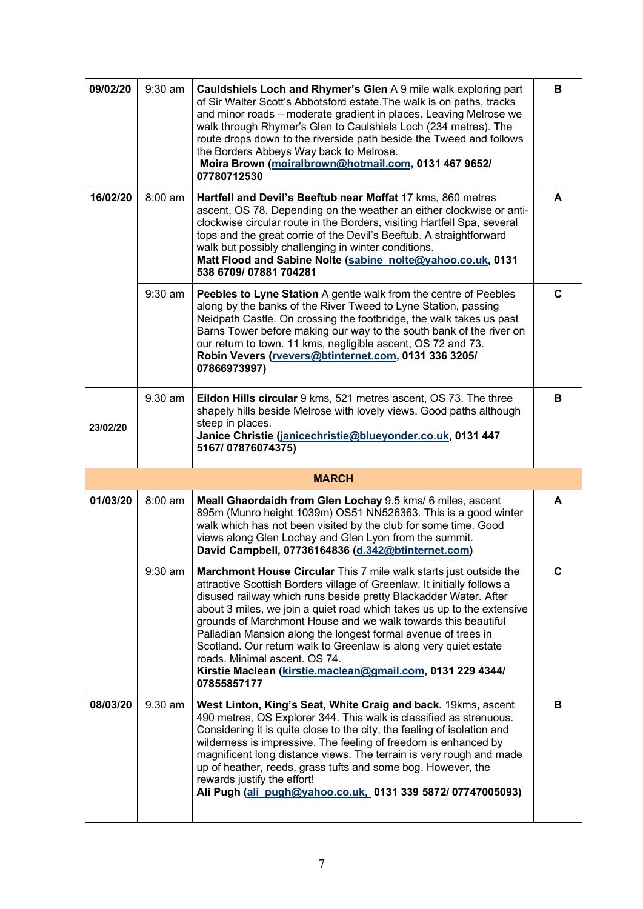| 09/02/20 | $9:30$ am                                                                                                                                                                                                                                                                                                                                                                                                                                       | Cauldshiels Loch and Rhymer's Glen A 9 mile walk exploring part<br>of Sir Walter Scott's Abbotsford estate. The walk is on paths, tracks<br>and minor roads - moderate gradient in places. Leaving Melrose we<br>walk through Rhymer's Glen to Caulshiels Loch (234 metres). The<br>route drops down to the riverside path beside the Tweed and follows<br>the Borders Abbeys Way back to Melrose.<br>Moira Brown (moiralbrown@hotmail.com, 0131 467 9652/<br>07780712530                                                                                                                                      | B |  |  |  |
|----------|-------------------------------------------------------------------------------------------------------------------------------------------------------------------------------------------------------------------------------------------------------------------------------------------------------------------------------------------------------------------------------------------------------------------------------------------------|----------------------------------------------------------------------------------------------------------------------------------------------------------------------------------------------------------------------------------------------------------------------------------------------------------------------------------------------------------------------------------------------------------------------------------------------------------------------------------------------------------------------------------------------------------------------------------------------------------------|---|--|--|--|
| 16/02/20 | 8:00 am<br>Hartfell and Devil's Beeftub near Moffat 17 kms, 860 metres<br>ascent, OS 78. Depending on the weather an either clockwise or anti-<br>clockwise circular route in the Borders, visiting Hartfell Spa, several<br>tops and the great corrie of the Devil's Beeftub. A straightforward<br>walk but possibly challenging in winter conditions.<br>Matt Flood and Sabine Nolte (sabine nolte@yahoo.co.uk, 0131<br>538 6709/07881 704281 |                                                                                                                                                                                                                                                                                                                                                                                                                                                                                                                                                                                                                |   |  |  |  |
|          | $9:30$ am                                                                                                                                                                                                                                                                                                                                                                                                                                       | Peebles to Lyne Station A gentle walk from the centre of Peebles<br>along by the banks of the River Tweed to Lyne Station, passing<br>Neidpath Castle. On crossing the footbridge, the walk takes us past<br>Barns Tower before making our way to the south bank of the river on<br>our return to town. 11 kms, negligible ascent, OS 72 and 73.<br>Robin Vevers (rvevers@btinternet.com, 0131 336 3205/<br>07866973997)                                                                                                                                                                                       | C |  |  |  |
| 23/02/20 | 9.30 am                                                                                                                                                                                                                                                                                                                                                                                                                                         | Eildon Hills circular 9 kms, 521 metres ascent, OS 73. The three<br>shapely hills beside Melrose with lovely views. Good paths although<br>steep in places.<br>Janice Christie (janicechristie@blueyonder.co.uk, 0131 447<br>5167/07876074375)                                                                                                                                                                                                                                                                                                                                                                 | в |  |  |  |
|          |                                                                                                                                                                                                                                                                                                                                                                                                                                                 |                                                                                                                                                                                                                                                                                                                                                                                                                                                                                                                                                                                                                |   |  |  |  |
|          |                                                                                                                                                                                                                                                                                                                                                                                                                                                 | <b>MARCH</b>                                                                                                                                                                                                                                                                                                                                                                                                                                                                                                                                                                                                   |   |  |  |  |
| 01/03/20 | 8:00 am                                                                                                                                                                                                                                                                                                                                                                                                                                         | Meall Ghaordaidh from Glen Lochay 9.5 kms/ 6 miles, ascent<br>895m (Munro height 1039m) OS51 NN526363. This is a good winter<br>walk which has not been visited by the club for some time. Good<br>views along Glen Lochay and Glen Lyon from the summit.<br>David Campbell, 07736164836 (d.342@btinternet.com)                                                                                                                                                                                                                                                                                                | A |  |  |  |
|          | 9:30 am                                                                                                                                                                                                                                                                                                                                                                                                                                         | Marchmont House Circular This 7 mile walk starts just outside the<br>attractive Scottish Borders village of Greenlaw. It initially follows a<br>disused railway which runs beside pretty Blackadder Water. After<br>about 3 miles, we join a quiet road which takes us up to the extensive<br>grounds of Marchmont House and we walk towards this beautiful<br>Palladian Mansion along the longest formal avenue of trees in<br>Scotland. Our return walk to Greenlaw is along very quiet estate<br>roads. Minimal ascent. OS 74.<br>Kirstie Maclean (kirstie.maclean@gmail.com, 0131 229 4344/<br>07855857177 | C |  |  |  |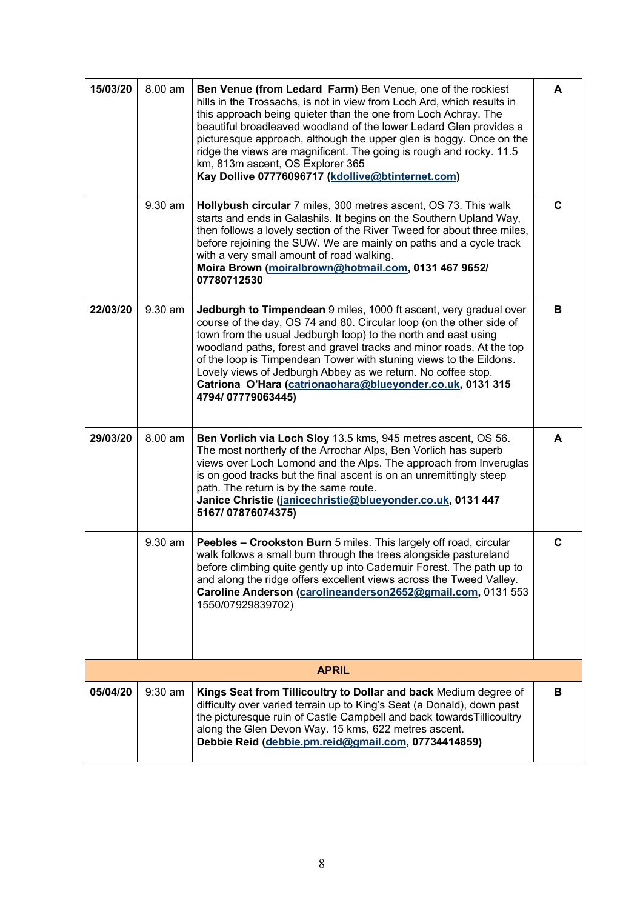| 15/03/20 | 8.00 am | Ben Venue (from Ledard Farm) Ben Venue, one of the rockiest<br>hills in the Trossachs, is not in view from Loch Ard, which results in<br>this approach being quieter than the one from Loch Achray. The<br>beautiful broadleaved woodland of the lower Ledard Glen provides a<br>picturesque approach, although the upper glen is boggy. Once on the<br>ridge the views are magnificent. The going is rough and rocky. 11.5<br>km, 813m ascent, OS Explorer 365<br>Kay Dollive 07776096717 (kdollive@btinternet.com) | A |
|----------|---------|----------------------------------------------------------------------------------------------------------------------------------------------------------------------------------------------------------------------------------------------------------------------------------------------------------------------------------------------------------------------------------------------------------------------------------------------------------------------------------------------------------------------|---|
|          | 9.30 am | Hollybush circular 7 miles, 300 metres ascent, OS 73. This walk<br>starts and ends in Galashils. It begins on the Southern Upland Way,<br>then follows a lovely section of the River Tweed for about three miles,<br>before rejoining the SUW. We are mainly on paths and a cycle track<br>with a very small amount of road walking.<br>Moira Brown (moiralbrown@hotmail.com, 0131 467 9652/<br>07780712530                                                                                                          | C |
| 22/03/20 | 9.30 am | Jedburgh to Timpendean 9 miles, 1000 ft ascent, very gradual over<br>course of the day, OS 74 and 80. Circular loop (on the other side of<br>town from the usual Jedburgh loop) to the north and east using<br>woodland paths, forest and gravel tracks and minor roads. At the top<br>of the loop is Timpendean Tower with stuning views to the Eildons.<br>Lovely views of Jedburgh Abbey as we return. No coffee stop.<br>Catriona O'Hara (catrionaohara@blueyonder.co.uk, 0131 315<br>4794/07779063445)          | в |
| 29/03/20 | 8.00 am | Ben Vorlich via Loch Sloy 13.5 kms, 945 metres ascent, OS 56.<br>The most northerly of the Arrochar Alps, Ben Vorlich has superb<br>views over Loch Lomond and the Alps. The approach from Inveruglas<br>is on good tracks but the final ascent is on an unremittingly steep<br>path. The return is by the same route.<br>Janice Christie (janicechristie@blueyonder.co.uk, 0131 447<br>5167/07876074375)                                                                                                            | A |
|          | 9.30 am | Peebles - Crookston Burn 5 miles. This largely off road, circular<br>walk follows a small burn through the trees alongside pastureland<br>before climbing quite gently up into Cademuir Forest. The path up to<br>and along the ridge offers excellent views across the Tweed Valley.<br>Caroline Anderson (carolineanderson2652@gmail.com, 0131 553<br>1550/07929839702)                                                                                                                                            | C |
|          |         | <b>APRIL</b>                                                                                                                                                                                                                                                                                                                                                                                                                                                                                                         |   |
| 05/04/20 | 9:30 am | Kings Seat from Tillicoultry to Dollar and back Medium degree of<br>difficulty over varied terrain up to King's Seat (a Donald), down past<br>the picturesque ruin of Castle Campbell and back towards Tillicoultry<br>along the Glen Devon Way. 15 kms, 622 metres ascent.<br>Debbie Reid (debbie.pm.reid@gmail.com, 07734414859)                                                                                                                                                                                   | в |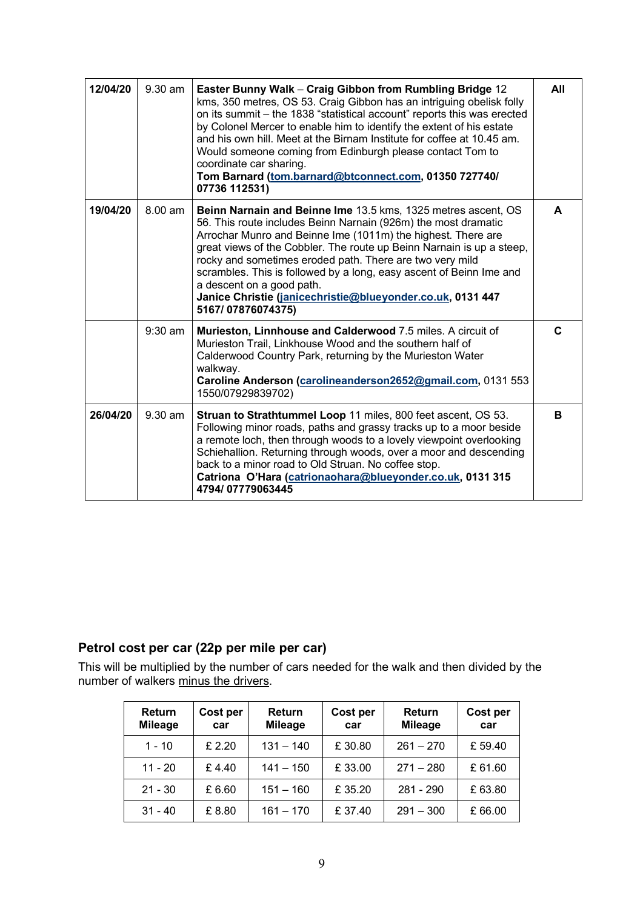| 12/04/20 | $9.30$ am | Easter Bunny Walk - Craig Gibbon from Rumbling Bridge 12<br>kms, 350 metres, OS 53. Craig Gibbon has an intriguing obelisk folly<br>on its summit - the 1838 "statistical account" reports this was erected<br>by Colonel Mercer to enable him to identify the extent of his estate<br>and his own hill. Meet at the Birnam Institute for coffee at 10.45 am.<br>Would someone coming from Edinburgh please contact Tom to<br>coordinate car sharing.<br>Tom Barnard (tom.barnard@btconnect.com, 01350 727740/<br>07736 112531) |    |  |  |
|----------|-----------|---------------------------------------------------------------------------------------------------------------------------------------------------------------------------------------------------------------------------------------------------------------------------------------------------------------------------------------------------------------------------------------------------------------------------------------------------------------------------------------------------------------------------------|----|--|--|
| 19/04/20 | 8.00 am   | Beinn Narnain and Beinne Ime 13.5 kms, 1325 metres ascent, OS<br>56. This route includes Beinn Narnain (926m) the most dramatic<br>Arrochar Munro and Beinne Ime (1011m) the highest. There are<br>great views of the Cobbler. The route up Beinn Narnain is up a steep,<br>rocky and sometimes eroded path. There are two very mild<br>scrambles. This is followed by a long, easy ascent of Beinn Ime and<br>a descent on a good path.<br>Janice Christie (janicechristie@blueyonder.co.uk, 0131 447<br>5167/07876074375)     |    |  |  |
|          | $9:30$ am | Murieston, Linnhouse and Calderwood 7.5 miles. A circuit of<br>Murieston Trail, Linkhouse Wood and the southern half of<br>Calderwood Country Park, returning by the Murieston Water<br>walkway.<br>Caroline Anderson (carolineanderson2652@gmail.com, 0131 553<br>1550/07929839702)                                                                                                                                                                                                                                            | C. |  |  |
| 26/04/20 | $9.30$ am | <b>Struan to Strathtummel Loop 11 miles, 800 feet ascent, OS 53.</b><br>Following minor roads, paths and grassy tracks up to a moor beside<br>a remote loch, then through woods to a lovely viewpoint overlooking<br>Schiehallion. Returning through woods, over a moor and descending<br>back to a minor road to Old Struan. No coffee stop.<br>Catriona O'Hara (catrionaohara@blueyonder.co.uk, 0131 315<br>4794/07779063445                                                                                                  | B  |  |  |

### **Petrol cost per car (22p per mile per car)**

This will be multiplied by the number of cars needed for the walk and then divided by the number of walkers minus the drivers.

| <b>Return</b><br><b>Mileage</b> | Cost per<br>car | Return<br><b>Mileage</b> | Cost per<br>car | <b>Return</b><br><b>Mileage</b> | Cost per<br>car |
|---------------------------------|-----------------|--------------------------|-----------------|---------------------------------|-----------------|
| $1 - 10$                        | £ 2.20          | $131 - 140$              | £30.80          | $261 - 270$                     | £59.40          |
| $11 - 20$                       | £4.40           | $141 - 150$              | £33.00          | $271 - 280$                     | £61.60          |
| $21 - 30$                       | £6.60           | $151 - 160$              | £35.20          | 281 - 290                       | £63.80          |
| $31 - 40$                       | £8.80           | $161 - 170$              | £37.40          | $291 - 300$                     | £66.00          |